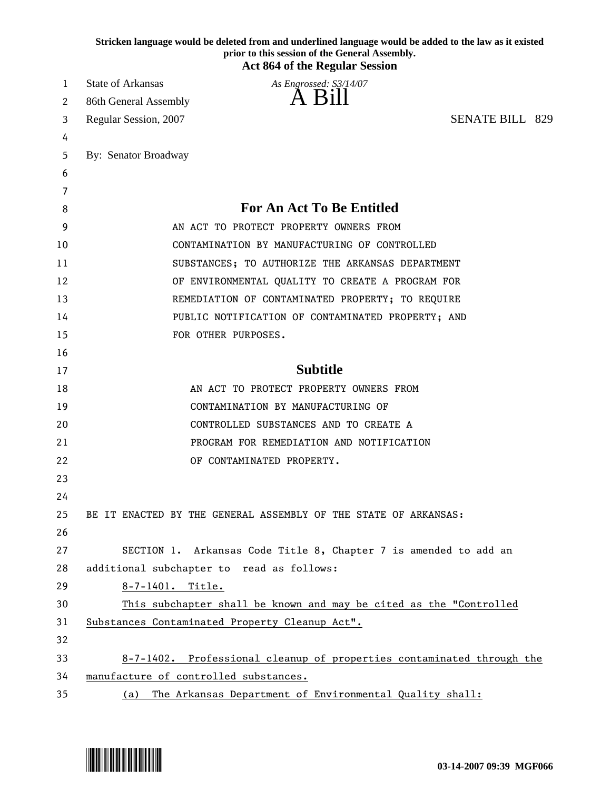|    | Stricken language would be deleted from and underlined language would be added to the law as it existed<br>prior to this session of the General Assembly.<br><b>Act 864 of the Regular Session</b> |                        |  |
|----|----------------------------------------------------------------------------------------------------------------------------------------------------------------------------------------------------|------------------------|--|
| 1  | <b>State of Arkansas</b><br>As Engrossed: S3/14/07                                                                                                                                                 |                        |  |
| 2  | 86th General Assembly                                                                                                                                                                              |                        |  |
| 3  | Regular Session, 2007                                                                                                                                                                              | <b>SENATE BILL 829</b> |  |
| 4  |                                                                                                                                                                                                    |                        |  |
| 5  | By: Senator Broadway                                                                                                                                                                               |                        |  |
| 6  |                                                                                                                                                                                                    |                        |  |
| 7  |                                                                                                                                                                                                    |                        |  |
| 8  | <b>For An Act To Be Entitled</b>                                                                                                                                                                   |                        |  |
| 9  | AN ACT TO PROTECT PROPERTY OWNERS FROM                                                                                                                                                             |                        |  |
| 10 | CONTAMINATION BY MANUFACTURING OF CONTROLLED                                                                                                                                                       |                        |  |
| 11 | SUBSTANCES; TO AUTHORIZE THE ARKANSAS DEPARTMENT                                                                                                                                                   |                        |  |
| 12 | OF ENVIRONMENTAL QUALITY TO CREATE A PROGRAM FOR                                                                                                                                                   |                        |  |
| 13 | REMEDIATION OF CONTAMINATED PROPERTY; TO REQUIRE                                                                                                                                                   |                        |  |
| 14 | PUBLIC NOTIFICATION OF CONTAMINATED PROPERTY; AND                                                                                                                                                  |                        |  |
| 15 | FOR OTHER PURPOSES.                                                                                                                                                                                |                        |  |
| 16 |                                                                                                                                                                                                    |                        |  |
| 17 | <b>Subtitle</b>                                                                                                                                                                                    |                        |  |
| 18 | AN ACT TO PROTECT PROPERTY OWNERS FROM                                                                                                                                                             |                        |  |
| 19 | CONTAMINATION BY MANUFACTURING OF                                                                                                                                                                  |                        |  |
| 20 | CONTROLLED SUBSTANCES AND TO CREATE A                                                                                                                                                              |                        |  |
| 21 | PROGRAM FOR REMEDIATION AND NOTIFICATION                                                                                                                                                           |                        |  |
| 22 | OF CONTAMINATED PROPERTY.                                                                                                                                                                          |                        |  |
| 23 |                                                                                                                                                                                                    |                        |  |
| 24 |                                                                                                                                                                                                    |                        |  |
| 25 | BE IT ENACTED BY THE GENERAL ASSEMBLY OF THE STATE OF ARKANSAS:                                                                                                                                    |                        |  |
| 26 |                                                                                                                                                                                                    |                        |  |
| 27 | SECTION 1. Arkansas Code Title 8, Chapter 7 is amended to add an                                                                                                                                   |                        |  |
| 28 | additional subchapter to read as follows:                                                                                                                                                          |                        |  |
| 29 | 8-7-1401. Title.                                                                                                                                                                                   |                        |  |
| 30 | This subchapter shall be known and may be cited as the "Controlled                                                                                                                                 |                        |  |
| 31 | Substances Contaminated Property Cleanup Act".                                                                                                                                                     |                        |  |
| 32 |                                                                                                                                                                                                    |                        |  |
| 33 | 8-7-1402. Professional cleanup of properties contaminated through the                                                                                                                              |                        |  |
| 34 | manufacture of controlled substances.                                                                                                                                                              |                        |  |
| 35 | (a) The Arkansas Department of Environmental Quality shall:                                                                                                                                        |                        |  |

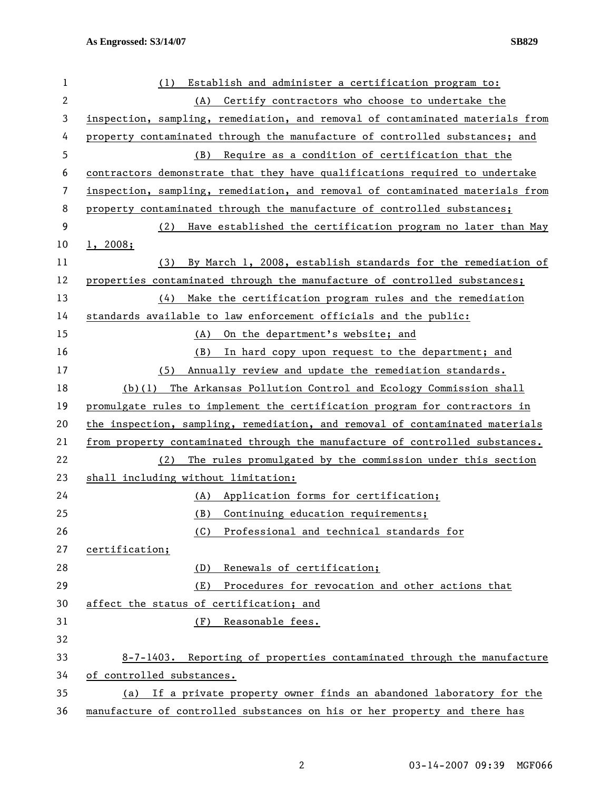| 1  | Establish and administer a certification program to:<br>(1)                   |  |
|----|-------------------------------------------------------------------------------|--|
| 2  | Certify contractors who choose to undertake the<br>(A)                        |  |
| 3  | inspection, sampling, remediation, and removal of contaminated materials from |  |
| 4  | property contaminated through the manufacture of controlled substances; and   |  |
| 5  | (B) Require as a condition of certification that the                          |  |
| 6  | contractors demonstrate that they have qualifications required to undertake   |  |
| 7  | inspection, sampling, remediation, and removal of contaminated materials from |  |
| 8  | property contaminated through the manufacture of controlled substances;       |  |
| 9  | (2)<br>Have established the certification program no later than May           |  |
| 10 | 1, 2008;                                                                      |  |
| 11 | (3)<br>By March 1, 2008, establish standards for the remediation of           |  |
| 12 | properties contaminated through the manufacture of controlled substances;     |  |
| 13 | Make the certification program rules and the remediation<br>(4)               |  |
| 14 | standards available to law enforcement officials and the public:              |  |
| 15 | On the department's website; and<br>(A)                                       |  |
| 16 | (B)<br>In hard copy upon request to the department; and                       |  |
| 17 | Annually review and update the remediation standards.<br>(5)                  |  |
| 18 | (b)(1) The Arkansas Pollution Control and Ecology Commission shall            |  |
| 19 | promulgate rules to implement the certification program for contractors in    |  |
| 20 | the inspection, sampling, remediation, and removal of contaminated materials  |  |
| 21 | from property contaminated through the manufacture of controlled substances.  |  |
| 22 | (2)<br>The rules promulgated by the commission under this section             |  |
| 23 | shall including without limitation:                                           |  |
| 24 | (A)<br>Application forms for certification;                                   |  |
| 25 | (B)<br>Continuing education requirements;                                     |  |
| 26 | Professional and technical standards for<br>(C)                               |  |
| 27 | certification;                                                                |  |
| 28 | Renewals of certification;<br>(D)                                             |  |
| 29 | Procedures for revocation and other actions that<br>(E)                       |  |
| 30 | affect the status of certification; and                                       |  |
| 31 | (F)<br>Reasonable fees.                                                       |  |
| 32 |                                                                               |  |
| 33 | 8-7-1403. Reporting of properties contaminated through the manufacture        |  |
| 34 | of controlled substances.                                                     |  |
| 35 | If a private property owner finds an abandoned laboratory for the<br>(a)      |  |
| 36 | manufacture of controlled substances on his or her property and there has     |  |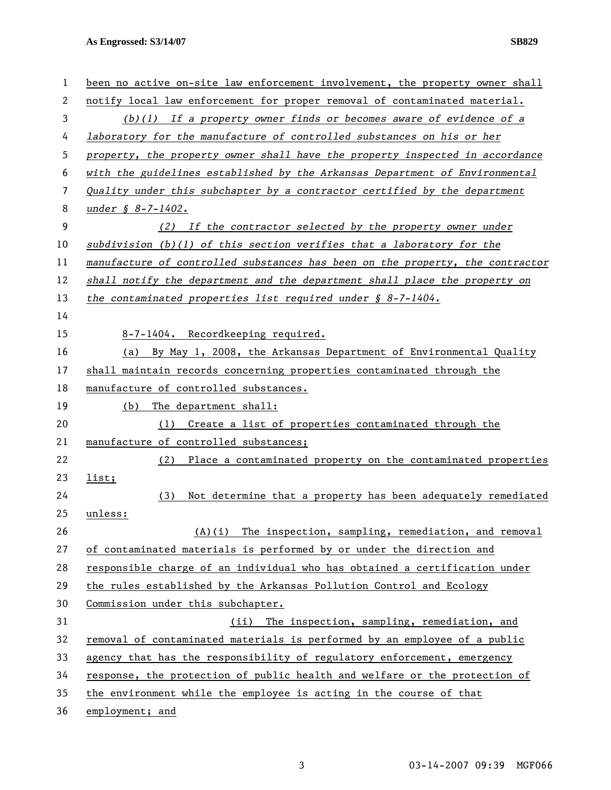**As Engrossed: S3/14/07 SB829** 

| 1  | been no active on-site law enforcement involvement, the property owner shall  |
|----|-------------------------------------------------------------------------------|
| 2  | notify local law enforcement for proper removal of contaminated material.     |
| 3  | $(b)(1)$ If a property owner finds or becomes aware of evidence of a          |
| 4  | laboratory for the manufacture of controlled substances on his or her         |
| 5  | property, the property owner shall have the property inspected in accordance  |
| 6  | with the guidelines established by the Arkansas Department of Environmental   |
| 7  | Quality under this subchapter by a contractor certified by the department     |
| 8  | under $$8-7-1402.$                                                            |
| 9  | (2) If the contractor selected by the property owner under                    |
| 10 | subdivision $(b)(1)$ of this section verifies that a laboratory for the       |
| 11 | manufacture of controlled substances has been on the property, the contractor |
| 12 | shall notify the department and the department shall place the property on    |
| 13 | the contaminated properties list required under $\S$ 8-7-1404.                |
| 14 |                                                                               |
| 15 | 8-7-1404. Recordkeeping required.                                             |
| 16 | By May 1, 2008, the Arkansas Department of Environmental Quality<br>(a)       |
| 17 | shall maintain records concerning properties contaminated through the         |
| 18 | manufacture of controlled substances.                                         |
| 19 | The department shall:<br>(b)                                                  |
| 20 | Create a list of properties contaminated through the<br>(1)                   |
| 21 | manufacture of controlled substances;                                         |
| 22 | (2) Place a contaminated property on the contaminated properties              |
| 23 | list;                                                                         |
| 24 | Not determine that a property has been adequately remediated<br>(3)           |
| 25 | unless:                                                                       |
| 26 | $(A)(i)$ The inspection, sampling, remediation, and removal                   |
| 27 | of contaminated materials is performed by or under the direction and          |
| 28 | responsible charge of an individual who has obtained a certification under    |
| 29 | the rules established by the Arkansas Pollution Control and Ecology           |
| 30 | Commission under this subchapter.                                             |
| 31 | (ii) The inspection, sampling, remediation, and                               |
| 32 | removal of contaminated materials is performed by an employee of a public     |
| 33 | agency that has the responsibility of regulatory enforcement, emergency       |
| 34 | response, the protection of public health and welfare or the protection of    |
| 35 | the environment while the employee is acting in the course of that            |
| 36 | employment; and                                                               |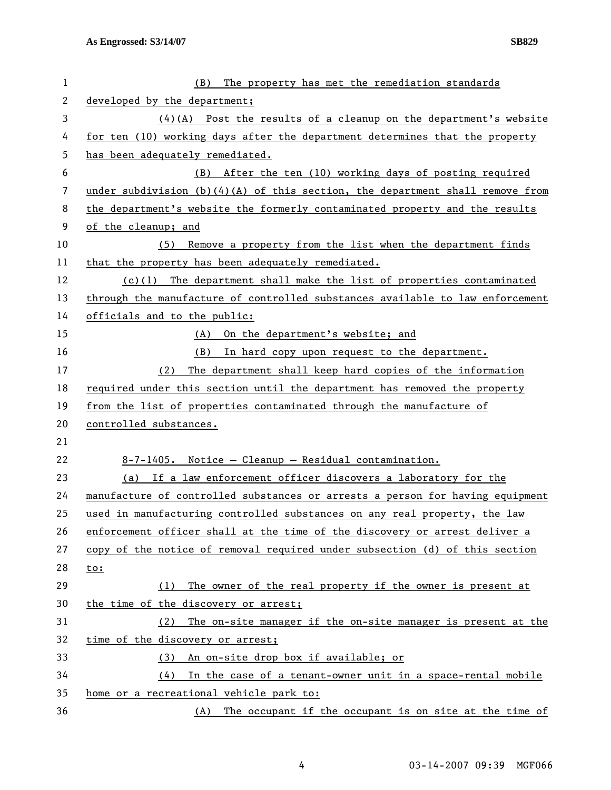| $\mathbf 1$    | The property has met the remediation standards<br>(B)                           |  |
|----------------|---------------------------------------------------------------------------------|--|
| $\overline{c}$ | developed by the department;                                                    |  |
| 3              | $(4)(A)$ Post the results of a cleanup on the department's website              |  |
| 4              | for ten (10) working days after the department determines that the property     |  |
| 5              | has been adequately remediated.                                                 |  |
| 6              | After the ten (10) working days of posting required<br>(B)                      |  |
| 7              | under subdivision $(b)(4)(A)$ of this section, the department shall remove from |  |
| 8              | the department's website the formerly contaminated property and the results     |  |
| 9              | of the cleanup; and                                                             |  |
| 10             | (5) Remove a property from the list when the department finds                   |  |
| 11             | that the property has been adequately remediated.                               |  |
| 12             | $(c)(1)$ The department shall make the list of properties contaminated          |  |
| 13             | through the manufacture of controlled substances available to law enforcement   |  |
| 14             | officials and to the public:                                                    |  |
| 15             | (A) On the department's website; and                                            |  |
| 16             | (B)<br>In hard copy upon request to the department.                             |  |
| 17             | The department shall keep hard copies of the information<br>(2)                 |  |
| 18             | required under this section until the department has removed the property       |  |
| 19             | from the list of properties contaminated through the manufacture of             |  |
| 20             | controlled substances.                                                          |  |
| 21             |                                                                                 |  |
| 22             | 8-7-1405. Notice - Cleanup - Residual contamination.                            |  |
| 23             | (a) If a law enforcement officer discovers a laboratory for the                 |  |
| 24             | manufacture of controlled substances or arrests a person for having equipment   |  |
| 25             | used in manufacturing controlled substances on any real property, the law       |  |
| 26             | enforcement officer shall at the time of the discovery or arrest deliver a      |  |
| 27             | copy of the notice of removal required under subsection (d) of this section     |  |
| 28             | to:                                                                             |  |
| 29             | The owner of the real property if the owner is present at<br>(1)                |  |
| 30             | the time of the discovery or arrest;                                            |  |
| 31             | The on-site manager if the on-site manager is present at the<br>(2)             |  |
| 32             | time of the discovery or arrest;                                                |  |
| 33             | An on-site drop box if available; or<br>(3)                                     |  |
| 34             | In the case of a tenant-owner unit in a space-rental mobile<br>(4)              |  |
| 35             | home or a recreational vehicle park to:                                         |  |
| 36             | The occupant if the occupant is on site at the time of<br>(A)                   |  |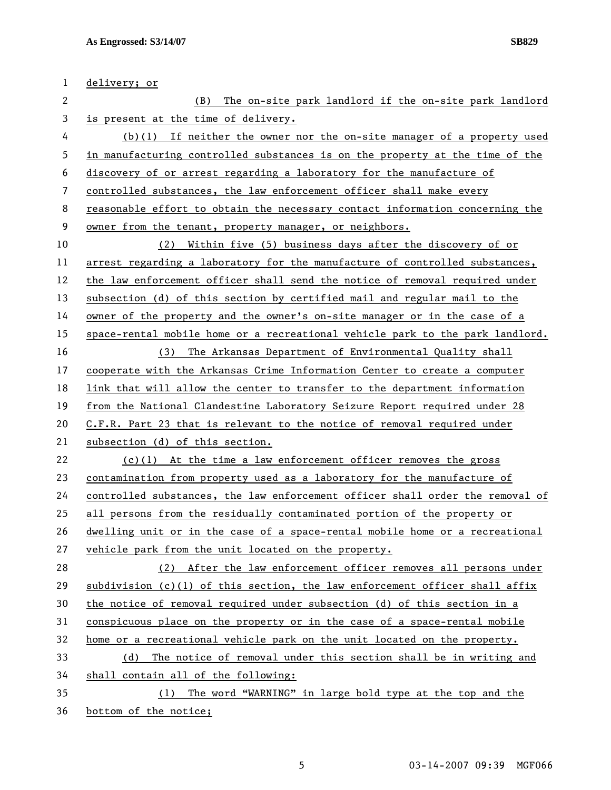| 1              | delivery; or                                                                  |
|----------------|-------------------------------------------------------------------------------|
| $\mathbf{2}$   | The on-site park landlord if the on-site park landlord<br>(B)                 |
| 3              | is present at the time of delivery.                                           |
| 4              | $(b)(1)$ If neither the owner nor the on-site manager of a property used      |
| 5              | in manufacturing controlled substances is on the property at the time of the  |
| 6              | discovery of or arrest regarding a laboratory for the manufacture of          |
| $\overline{7}$ | controlled substances, the law enforcement officer shall make every           |
| 8              | reasonable effort to obtain the necessary contact information concerning the  |
| 9              | owner from the tenant, property manager, or neighbors.                        |
| 10             | Within five (5) business days after the discovery of or<br>(2)                |
| 11             | arrest regarding a laboratory for the manufacture of controlled substances,   |
| 12             | the law enforcement officer shall send the notice of removal required under   |
| 13             | subsection (d) of this section by certified mail and regular mail to the      |
| 14             | owner of the property and the owner's on-site manager or in the case of a     |
| 15             | space-rental mobile home or a recreational vehicle park to the park landlord. |
| 16             | The Arkansas Department of Environmental Quality shall<br>(3)                 |
| 17             | cooperate with the Arkansas Crime Information Center to create a computer     |
| 18             | link that will allow the center to transfer to the department information     |
| 19             | from the National Clandestine Laboratory Seizure Report required under 28     |
| 20             | C.F.R. Part 23 that is relevant to the notice of removal required under       |
| 21             | subsection (d) of this section.                                               |
| 22             | $(c)(1)$ At the time a law enforcement officer removes the gross              |
| 23             | contamination from property used as a laboratory for the manufacture of       |
| 24             | controlled substances, the law enforcement officer shall order the removal of |
| 25             | all persons from the residually contaminated portion of the property or       |
| 26             | dwelling unit or in the case of a space-rental mobile home or a recreational  |
| 27             | vehicle park from the unit located on the property.                           |
| 28             | (2) After the law enforcement officer removes all persons under               |
| 29             | subdivision $(c)(1)$ of this section, the law enforcement officer shall affix |
| 30             | the notice of removal required under subsection (d) of this section in a      |
| 31             | conspicuous place on the property or in the case of a space-rental mobile     |
| 32             | home or a recreational vehicle park on the unit located on the property.      |
| 33             | The notice of removal under this section shall be in writing and<br>(d)       |
| 34             | shall contain all of the following:                                           |
| 35             | (1) The word "WARNING" in large bold type at the top and the                  |
| 36             | bottom of the notice;                                                         |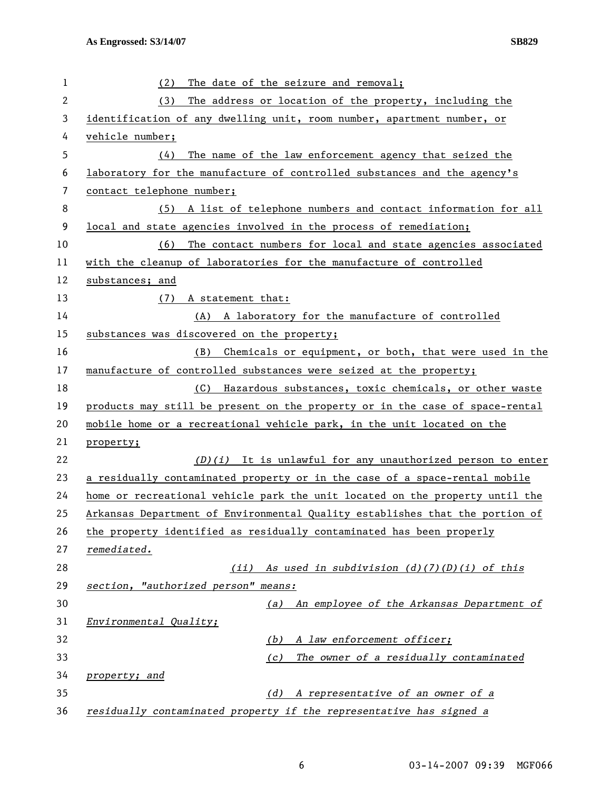| 1              | (2)<br>The date of the seizure and removal;                                  |  |
|----------------|------------------------------------------------------------------------------|--|
| $\overline{2}$ | The address or location of the property, including the<br>(3)                |  |
| 3              | identification of any dwelling unit, room number, apartment number, or       |  |
| 4              | vehicle number;                                                              |  |
| 5              | The name of the law enforcement agency that seized the<br>(4)                |  |
| 6              | laboratory for the manufacture of controlled substances and the agency's     |  |
| 7              | contact telephone number;                                                    |  |
| 8              | (5) A list of telephone numbers and contact information for all              |  |
| 9              | local and state agencies involved in the process of remediation;             |  |
| 10             | (6)<br>The contact numbers for local and state agencies associated           |  |
| 11             | with the cleanup of laboratories for the manufacture of controlled           |  |
| 12             | substances; and                                                              |  |
| 13             | (7)<br>A statement that:                                                     |  |
| 14             | A laboratory for the manufacture of controlled<br>(A)                        |  |
| 15             | substances was discovered on the property;                                   |  |
| 16             | (B)<br>Chemicals or equipment, or both, that were used in the                |  |
| 17             | manufacture of controlled substances were seized at the property;            |  |
| 18             | (C) Hazardous substances, toxic chemicals, or other waste                    |  |
| 19             | products may still be present on the property or in the case of space-rental |  |
| 20             | mobile home or a recreational vehicle park, in the unit located on the       |  |
| 21             | property;                                                                    |  |
| 22             | $(D)(i)$ It is unlawful for any unauthorized person to enter                 |  |
| 23             | a residually contaminated property or in the case of a space-rental mobile   |  |
| 24             | home or recreational vehicle park the unit located on the property until the |  |
| 25             | Arkansas Department of Environmental Quality establishes that the portion of |  |
| 26             | the property identified as residually contaminated has been properly         |  |
| 27             | remediated.                                                                  |  |
| 28             | (ii) As used in subdivision $(d)$ (7)(D)(i) of this                          |  |
| 29             | section, "authorized person" means:                                          |  |
| 30             | (a) An employee of the Arkansas Department of                                |  |
| 31             | Environmental Quality;                                                       |  |
| 32             | A law enforcement officer;<br>(b)                                            |  |
| 33             | The owner of a residually contaminated<br>(c)                                |  |
| 34             | property; and                                                                |  |
| 35             | A representative of an owner of a<br>(d)                                     |  |
| 36             | residually contaminated property if the representative has signed a          |  |